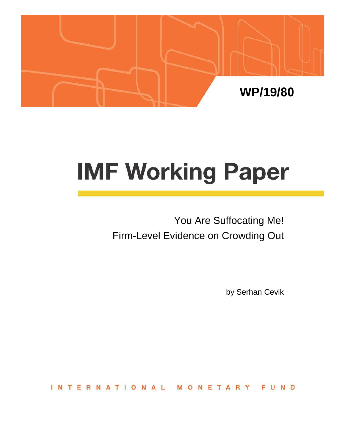

# **IMF Working Paper**

You Are Suffocating Me! Firm-Level Evidence on Crowding Out

by Serhan Cevik

ERNATIONAL  $INT$ ONETAR FUND M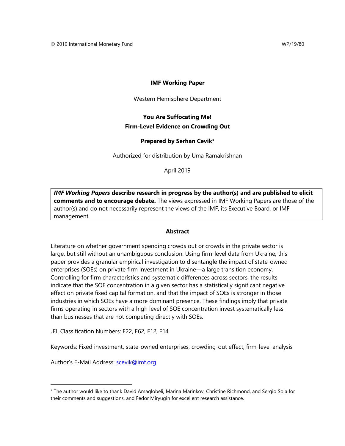## **IMF Working Paper**

Western Hemisphere Department

# **You Are Suffocating Me! Firm-Level Evidence on Crowding Out**

# **Prepared by Serhan Cevik**[∗](#page-1-0)

Authorized for distribution by Uma Ramakrishnan

April 2019

*IMF Working Papers* **describe research in progress by the author(s) and are published to elicit comments and to encourage debate.** The views expressed in IMF Working Papers are those of the author(s) and do not necessarily represent the views of the IMF, its Executive Board, or IMF management.

### **Abstract**

Literature on whether government spending crowds out or crowds in the private sector is large, but still without an unambiguous conclusion. Using firm-level data from Ukraine, this paper provides a granular empirical investigation to disentangle the impact of state-owned enterprises (SOEs) on private firm investment in Ukraine—a large transition economy. Controlling for firm characteristics and systematic differences across sectors, the results indicate that the SOE concentration in a given sector has a statistically significant negative effect on private fixed capital formation, and that the impact of SOEs is stronger in those industries in which SOEs have a more dominant presence. These findings imply that private firms operating in sectors with a high level of SOE concentration invest systematically less than businesses that are not competing directly with SOEs.

JEL Classification Numbers: E22, E62, F12, F14

Keywords: Fixed investment, state-owned enterprises, crowding-out effect, firm-level analysis

Author's E-Mail Address: [scevik@imf.org](mailto:scevik@imf.org)

<span id="page-1-0"></span><sup>∗</sup> The author would like to thank David Amaglobeli, Marina Marinkov, Christine Richmond, and Sergio Sola for their comments and suggestions, and Fedor Miryugin for excellent research assistance.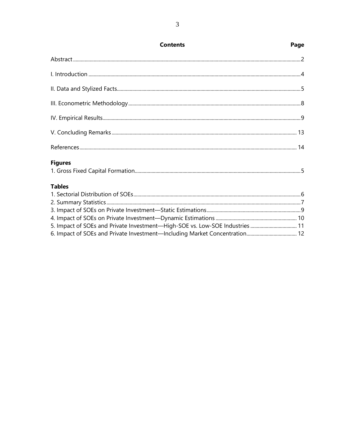| <b>Contents</b>                                                              | Page |
|------------------------------------------------------------------------------|------|
|                                                                              |      |
|                                                                              |      |
|                                                                              |      |
|                                                                              |      |
|                                                                              |      |
|                                                                              |      |
|                                                                              |      |
| <b>Figures</b>                                                               |      |
| <b>Tables</b>                                                                |      |
|                                                                              |      |
|                                                                              |      |
|                                                                              |      |
|                                                                              |      |
| 5. Impact of SOEs and Private Investment-High-SOE vs. Low-SOE Industries  11 |      |
|                                                                              |      |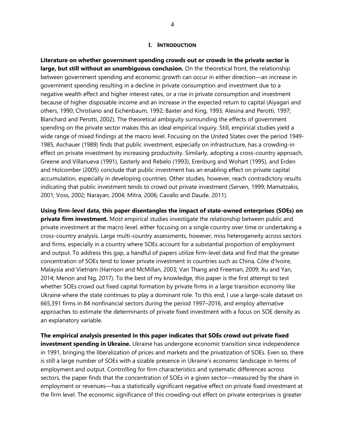### **I. INTRODUCTION**

**Literature on whether government spending crowds out or crowds in the private sector is large, but still without an unambiguous conclusion.** On the theoretical front, the relationship between government spending and economic growth can occur in either direction—an increase in government spending resulting in a decline in private consumption and investment due to a negative wealth effect and higher interest rates, or a rise in private consumption and investment because of higher disposable income and an increase in the expected return to capital (Aiyagari and others, 1990; Christiano and Eichenbaum, 1992; Baxter and King, 1993; Alesina and Perotti, 1997; Blanchard and Perotti, 2002). The theoretical ambiguity surrounding the effects of government spending on the private sector makes this an ideal empirical inquiry. Still, empirical studies yield a wide range of mixed findings at the macro level. Focusing on the United States over the period 1949- 1985, Aschauer (1989) finds that public investment, especially on infrastructure, has a crowding-in effect on private investment by increasing productivity. Similarly, adopting a cross-country approach, Greene and Villanueva (1991), Easterly and Rebelo (1993), Erenburg and Wohart (1995), and Erden and Holcomber (2005) conclude that public investment has an enabling effect on private capital accumulation, especially in developing countries. Other studies, however, reach contradictory results indicating that public investment tends to crowd out private investment (Serven, 1999; Mamatzakis, 2001; Voss, 2002; Narayan, 2004; Mitra, 2006; Cavallo and Daude, 2011).

**Using firm-level data, this paper disentangles the impact of state-owned enterprises (SOEs) on private firm investment.** Most empirical studies investigate the relationship between public and private investment at the macro level, either focusing on a single country over time or undertaking a cross-country analysis. Large multi-country assessments, however, miss heterogeneity across sectors and firms, especially in a country where SOEs account for a substantial proportion of employment and output. To address this gap, a handful of papers utilize firm-level data and find that the greater concentration of SOEs tend to lower private investment in countries such as China, Côte d'Ivoire, Malaysia and Vietnam (Harrison and McMillan, 2003; Van Thang and Freeman, 2009; Xu and Yan, 2014; Menon and Ng, 2017). To the best of my knowledge, this paper is the first attempt to test whether SOEs crowd out fixed capital formation by private firms in a large transition economy like Ukraine where the state continues to play a dominant role. To this end, I use a large-scale dataset on 665,391 firms in 84 nonfinancial sectors during the period 1997–2016, and employ alternative approaches to estimate the determinants of private fixed investment with a focus on SOE density as an explanatory variable.

**The empirical analysis presented in this paper indicates that SOEs crowd out private fixed investment spending in Ukraine.** Ukraine has undergone economic transition since independence in 1991, bringing the liberalization of prices and markets and the privatization of SOEs. Even so, there is still a large number of SOEs with a sizable presence in Ukraine's economic landscape in terms of employment and output. Controlling for firm characteristics and systematic differences across sectors, the paper finds that the concentration of SOEs in a given sector—measured by the share in employment or revenues—has a statistically significant negative effect on private fixed investment at the firm level. The economic significance of this crowding-out effect on private enterprises is greater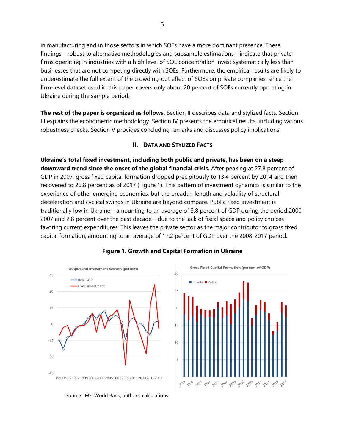in manufacturing and in those sectors in which SOEs have a more dominant presence. These findings—robust to alternative methodologies and subsample estimations—indicate that private firms operating in industries with a high level of SOE concentration invest systematically less than businesses that are not competing directly with SOEs. Furthermore, the empirical results are likely to underestimate the full extent of the crowding-out effect of SOEs on private companies, since the firm-level dataset used in this paper covers only about 20 percent of SOEs currently operating in Ukraine during the sample period.

**The rest of the paper is organized as follows.** Section II describes data and stylized facts. Section III explains the econometric methodology. Section IV presents the empirical results, including various robustness checks. Section V provides concluding remarks and discusses policy implications.

# **II. DATA AND STYLIZED FACTS**

**Ukraine's total fixed investment, including both public and private, has been on a steep downward trend since the onset of the global financial crisis.** After peaking at 27.8 percent of GDP in 2007, gross fixed capital formation dropped precipitously to 13.4 percent by 2014 and then recovered to 20.8 percent as of 2017 (Figure 1). This pattern of investment dynamics is similar to the experience of other emerging economies, but the breadth, length and volatility of structural deceleration and cyclical swings in Ukraine are beyond compare. Public fixed investment is traditionally low in Ukraine—amounting to an average of 3.8 percent of GDP during the period 2000- 2007 and 2.8 percent over the past decade—due to the lack of fiscal space and policy choices favoring current expenditures. This leaves the private sector as the major contributor to gross fixed capital formation, amounting to an average of 17.2 percent of GDP over the 2008-2017 period.



# **Figure 1. Growth and Capital Formation in Ukraine**

Source: IMF, World Bank, author's calculations.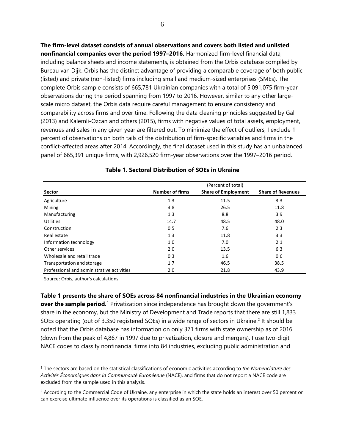**The firm-level dataset consists of annual observations and covers both listed and unlisted nonfinancial companies over the period 1997–2016.** Harmonized firm-level financial data, including balance sheets and income statements, is obtained from the Orbis database compiled by Bureau van Dijk. Orbis has the distinct advantage of providing a comparable coverage of both public (listed) and private (non-listed) firms including small and medium-sized enterprises (SMEs). The complete Orbis sample consists of 665,781 Ukrainian companies with a total of 5,091,075 firm-year observations during the period spanning from 1997 to 2016. However, similar to any other largescale micro dataset, the Orbis data require careful management to ensure consistency and comparability across firms and over time. Following the data cleaning principles suggested by Gal (2013) and Kalemli-Ozcan and others (2015), firms with negative values of total assets, employment, revenues and sales in any given year are filtered out. To minimize the effect of outliers, I exclude 1 percent of observations on both tails of the distribution of firm-specific variables and firms in the conflict-affected areas after 2014. Accordingly, the final dataset used in this study has an unbalanced panel of 665,391 unique firms, with 2,926,520 firm-year observations over the 1997–2016 period.

|                                            | (Percent of total)     |                            |                          |  |  |
|--------------------------------------------|------------------------|----------------------------|--------------------------|--|--|
| Sector                                     | <b>Number of firms</b> | <b>Share of Employment</b> | <b>Share of Revenues</b> |  |  |
| Agriculture                                | 1.3                    | 11.5                       | 3.3                      |  |  |
| Mining                                     | 3.8                    | 26.5                       | 11.8                     |  |  |
| Manufacturing                              | 1.3                    | 8.8                        | 3.9                      |  |  |
| <b>Utilities</b>                           | 14.7                   | 48.5                       | 48.0                     |  |  |
| Construction                               | 0.5                    | 7.6                        | 2.3                      |  |  |
| Real estate                                | 1.3                    | 11.8                       | 3.3                      |  |  |
| Information technology                     | 1.0                    | 7.0                        | 2.1                      |  |  |
| Other services                             | 2.0                    | 13.5                       | 6.3                      |  |  |
| Wholesale and retail trade                 | 0.3                    | 1.6                        | 0.6                      |  |  |
| Transportation and storage                 | 1.7                    | 46.5                       | 38.5                     |  |  |
| Professional and administrative activities | 2.0                    | 21.8                       | 43.9                     |  |  |

| Table 1. Sectoral Distribution of SOEs in Ukraine |  |  |  |  |  |
|---------------------------------------------------|--|--|--|--|--|
|---------------------------------------------------|--|--|--|--|--|

Source: Orbis, author's calculations.

 $\overline{a}$ 

**Table 1 presents the share of SOEs across 84 nonfinancial industries in the Ukrainian economy over the sample period.**<sup>[1](#page-5-0)</sup> Privatization since independence has brought down the government's share in the economy, but the Ministry of Development and Trade reports that there are still 1,833 SOEs operating (out of 3,350 registered SOEs) in a wide range of sectors in Ukraine.<sup>[2](#page-5-1)</sup> It should be noted that the Orbis database has information on only 371 firms with state ownership as of 2016 (down from the peak of 4,867 in 1997 due to privatization, closure and mergers). I use two-digit NACE codes to classify nonfinancial firms into 84 industries, excluding public administration and

<span id="page-5-0"></span><sup>1</sup> The sectors are based on the statistical classifications of economic activities according to *the Nomenclature des Activités Économiques dans la Communauté Européenne* (NACE), and firms that do not report a NACE code are excluded from the sample used in this analysis.

<span id="page-5-1"></span><sup>&</sup>lt;sup>2</sup> According to the Commercial Code of Ukraine, any enterprise in which the state holds an interest over 50 percent or can exercise ultimate influence over its operations is classified as an SOE.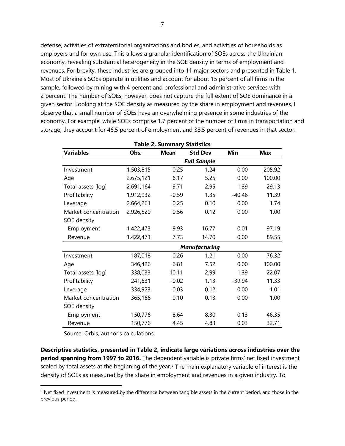defense, activities of extraterritorial organizations and bodies, and activities of households as employers and for own use. This allows a granular identification of SOEs across the Ukrainian economy, revealing substantial heterogeneity in the SOE density in terms of employment and revenues. For brevity, these industries are grouped into 11 major sectors and presented in Table 1. Most of Ukraine's SOEs operate in utilities and account for about 15 percent of all firms in the sample, followed by mining with 4 percent and professional and administrative services with 2 percent. The number of SOEs, however, does not capture the full extent of SOE dominance in a given sector. Looking at the SOE density as measured by the share in employment and revenues, I observe that a small number of SOEs have an overwhelming presence in some industries of the economy. For example, while SOEs comprise 1.7 percent of the number of firms in transportation and storage, they account for 46.5 percent of employment and 38.5 percent of revenues in that sector.

| Table 2. Summary Statistics |                    |             |                      |          |            |  |  |  |
|-----------------------------|--------------------|-------------|----------------------|----------|------------|--|--|--|
| <b>Variables</b>            | Obs.               | <b>Mean</b> | <b>Std Dev</b>       | Min      | <b>Max</b> |  |  |  |
|                             | <b>Full Sample</b> |             |                      |          |            |  |  |  |
| Investment                  | 1,503,815          | 0.25        | 1.24                 | 0.00     | 205.92     |  |  |  |
| Age                         | 2,675,121          | 6.17        | 5.25                 | 0.00     | 100.00     |  |  |  |
| Total assets [log]          | 2,691,164          | 9.71        | 2.95                 | 1.39     | 29.13      |  |  |  |
| Profitability               | 1,912,932          | $-0.59$     | 1.35                 | $-40.46$ | 11.39      |  |  |  |
| Leverage                    | 2,664,261          | 0.25        | 0.10                 | 0.00     | 1.74       |  |  |  |
| Market concentration        | 2,926,520          | 0.56        | 0.12                 | 0.00     | 1.00       |  |  |  |
| SOE density                 |                    |             |                      |          |            |  |  |  |
| Employment                  | 1,422,473          | 9.93        | 16.77                | 0.01     | 97.19      |  |  |  |
| Revenue                     | 1,422,473          | 7.73        | 14.70                | 0.00     | 89.55      |  |  |  |
|                             |                    |             | <b>Manufacturing</b> |          |            |  |  |  |
| Investment                  | 187,018            | 0.26        | 1.21                 | 0.00     | 76.32      |  |  |  |
| Age                         | 346,426            | 6.81        | 7.52                 | 0.00     | 100.00     |  |  |  |
| Total assets [log]          | 338,033            | 10.11       | 2.99                 | 1.39     | 22.07      |  |  |  |
| Profitability               | 241,631            | $-0.02$     | 1.13                 | $-39.94$ | 11.33      |  |  |  |
| Leverage                    | 334,923            | 0.03        | 0.12                 | 0.00     | 1.01       |  |  |  |
| Market concentration        | 365,166            | 0.10        | 0.13                 | 0.00     | 1.00       |  |  |  |
| SOE density                 |                    |             |                      |          |            |  |  |  |
| Employment                  | 150,776            | 8.64        | 8.30                 | 0.13     | 46.35      |  |  |  |
| Revenue                     | 150,776            | 4.45        | 4.83                 | 0.03     | 32.71      |  |  |  |

Source: Orbis, author's calculations.

 $\overline{a}$ 

**Descriptive statistics, presented in Table 2, indicate large variations across industries over the period spanning from 1997 to 2016.** The dependent variable is private firms' net fixed investment scaled by total assets at the beginning of the year.<sup>[3](#page-6-0)</sup> The main explanatory variable of interest is the density of SOEs as measured by the share in employment and revenues in a given industry. To

<span id="page-6-0"></span><sup>&</sup>lt;sup>3</sup> Net fixed investment is measured by the difference between tangible assets in the current period, and those in the previous period.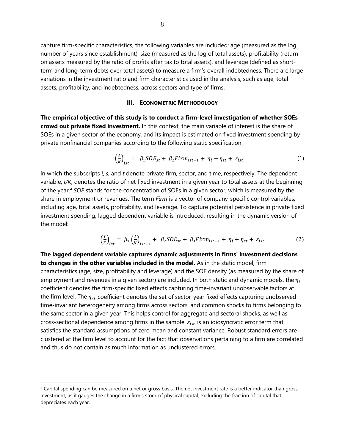capture firm-specific characteristics, the following variables are included: age (measured as the log number of years since establishment), size (measured as the log of total assets), profitability (return on assets measured by the ratio of profits after tax to total assets), and leverage (defined as shortterm and long-term debts over total assets) to measure a firm's overall indebtedness. There are large variations in the investment ratio and firm characteristics used in the analysis, such as age, total assets, profitability, and indebtedness, across sectors and type of firms.

# **III. ECONOMETRIC METHODOLOGY**

**The empirical objective of this study is to conduct a firm-level investigation of whether SOEs crowd out private fixed investment.** In this context, the main variable of interest is the share of SOEs in a given sector of the economy, and its impact is estimated on fixed investment spending by private nonfinancial companies according to the following static specification:

$$
\left(\frac{l}{K}\right)_{ist} = \beta_1 SOE_{st} + \beta_2 Firm_{ist-1} + \eta_i + \eta_{st} + \varepsilon_{ist} \tag{1}
$$

in which the subscripts *i*, *s*, and *t* denote private firm, sector, and time, respectively. The dependent variable, *I/K*, denotes the ratio of net fixed investment in a given year to total assets at the beginning of the year. [4](#page-7-0) *SOE* stands for the concentration of SOEs in a given sector, which is measured by the share in employment or revenues. The term *Firm* is a vector of company-specific control variables, including age, total assets, profitability, and leverage. To capture potential persistence in private fixed investment spending, lagged dependent variable is introduced, resulting in the dynamic version of the model:

$$
\left(\frac{l}{K}\right)_{ist} = \beta_1 \left(\frac{l}{K}\right)_{ist-1} + \beta_2 SOE_{st} + \beta_3 Firm_{ist-1} + \eta_i + \eta_{st} + \varepsilon_{ist}
$$
 (2)

**The lagged dependent variable captures dynamic adjustments in firms' investment decisions to changes in the other variables included in the model.** As in the static model, firm characteristics (age, size, profitability and leverage) and the SOE density (as measured by the share of employment and revenues in a given sector) are included. In both static and dynamic models, the  $\eta_i$ coefficient denotes the firm-specific fixed effects capturing time-invariant unobservable factors at the firm level. The  $\eta_{st}$  coefficient denotes the set of sector-year fixed effects capturing unobserved time-invariant heterogeneity among firms across sectors, and common shocks to firms belonging to the same sector in a given year. This helps control for aggregate and sectoral shocks, as well as cross-sectional dependence among firms in the sample.  $\varepsilon_{ist}$  is an idiosyncratic error term that satisfies the standard assumptions of zero mean and constant variance. Robust standard errors are clustered at the firm level to account for the fact that observations pertaining to a firm are correlated and thus do not contain as much information as unclustered errors.

 $\overline{a}$ 

<span id="page-7-0"></span><sup>4</sup> Capital spending can be measured on a net or gross basis. The net investment rate is a better indicator than gross investment, as it gauges the change in a firm's stock of physical capital, excluding the fraction of capital that depreciates each year.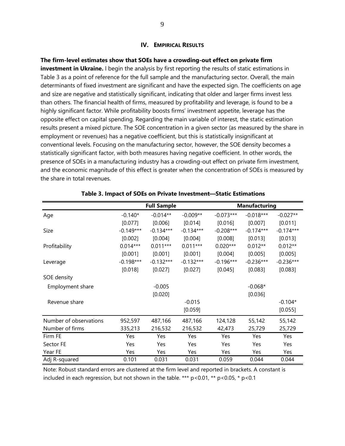# **IV. EMPIRICAL RESULTS**

**The firm-level estimates show that SOEs have a crowding-out effect on private firm investment in Ukraine.** I begin the analysis by first reporting the results of static estimations in Table 3 as a point of reference for the full sample and the manufacturing sector. Overall, the main determinants of fixed investment are significant and have the expected sign. The coefficients on age and size are negative and statistically significant, indicating that older and larger firms invest less than others. The financial health of firms, measured by profitability and leverage, is found to be a highly significant factor. While profitability boosts firms' investment appetite, leverage has the opposite effect on capital spending. Regarding the main variable of interest, the static estimation results present a mixed picture. The SOE concentration in a given sector (as measured by the share in employment or revenues) has a negative coefficient, but this is statistically insignificant at conventional levels. Focusing on the manufacturing sector, however, the SOE density becomes a statistically significant factor, with both measures having negative coefficient. In other words, the presence of SOEs in a manufacturing industry has a crowding-out effect on private firm investment, and the economic magnitude of this effect is greater when the concentration of SOEs is measured by the share in total revenues.

|                        |             | <b>Full Sample</b> |             |             | <b>Manufacturing</b> |             |
|------------------------|-------------|--------------------|-------------|-------------|----------------------|-------------|
| Age                    | $-0.140*$   | $-0.014**$         | $-0.009**$  | $-0.073***$ | $-0.018***$          | $-0.027**$  |
|                        | [0.077]     | [0.006]            | [0.014]     | [0.016]     | [0.007]              | [0.011]     |
| Size                   | $-0.149***$ | $-0.134***$        | $-0.134***$ | $-0.208***$ | $-0.174***$          | $-0.174***$ |
|                        | [0.002]     | [0.004]            | [0.004]     | [0.008]     | [0.013]              | [0.013]     |
| Profitability          | $0.014***$  | $0.011***$         | $0.011***$  | $0.020***$  | $0.012**$            | $0.012**$   |
|                        | [0.001]     | [0.001]            | [0.001]     | [0.004]     | [0.005]              | [0.005]     |
| Leverage               | $-0.198***$ | $-0.132***$        | $-0.132***$ | $-0.196***$ | $-0.236***$          | $-0.236***$ |
|                        | [0.018]     | [0.027]            | [0.027]     | [0.045]     | [0.083]              | [0.083]     |
| SOE density            |             |                    |             |             |                      |             |
| Employment share       |             | $-0.005$           |             |             | $-0.068*$            |             |
|                        |             | [0.020]            |             |             | [0.036]              |             |
| Revenue share          |             |                    | $-0.015$    |             |                      | $-0.104*$   |
|                        |             |                    | [0.059]     |             |                      | [0.055]     |
| Number of observations | 952,597     | 487,166            | 487,166     | 124,128     | 55,142               | 55,142      |
| Number of firms        | 335,213     | 216,532            | 216,532     | 42,473      | 25,729               | 25,729      |
| Firm FE                | Yes         | Yes                | Yes         | Yes         | Yes                  | Yes         |
| Sector FE              | Yes         | Yes                | Yes         | Yes         | Yes                  | Yes         |
| Year FE                | Yes         | Yes                | Yes         | Yes         | Yes                  | Yes         |
| Adj R-squared          | 0.101       | 0.031              | 0.031       | 0.059       | 0.044                | 0.044       |

# **Table 3. Impact of SOEs on Private Investment—Static Estimations**

Note: Robust standard errors are clustered at the firm level and reported in brackets. A constant is included in each regression, but not shown in the table. \*\*\*  $p$  < 0.01, \*\*  $p$  < 0.05, \*  $p$  < 0.1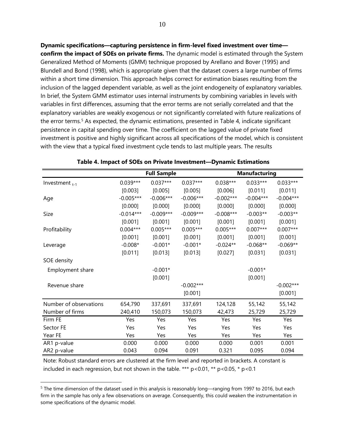**Dynamic specifications—capturing persistence in firm-level fixed investment over time confirm the impact of SOEs on private firms.** The dynamic model is estimated through the System Generalized Method of Moments (GMM) technique proposed by Arellano and Bover (1995) and Blundell and Bond (1998), which is appropriate given that the dataset covers a large number of firms within a short time dimension. This approach helps correct for estimation biases resulting from the inclusion of the lagged dependent variable, as well as the joint endogeneity of explanatory variables. In brief, the System GMM estimator uses internal instruments by combining variables in levels with variables in first differences, assuming that the error terms are not serially correlated and that the explanatory variables are weakly exogenous or not significantly correlated with future realizations of the error terms.<sup>[5](#page-9-0)</sup> As expected, the dynamic estimations, presented in Table 4, indicate significant persistence in capital spending over time. The coefficient on the lagged value of private fixed investment is positive and highly significant across all specifications of the model, which is consistent with the view that a typical fixed investment cycle tends to last multiple years. The results

|                        |             | <b>Full Sample</b> |             |             | <b>Manufacturing</b> |             |
|------------------------|-------------|--------------------|-------------|-------------|----------------------|-------------|
| Investment $_{t-1}$    | $0.039***$  | $0.037***$         | $0.037***$  | $0.038***$  | $0.033***$           | $0.033***$  |
|                        | [0.003]     | [0.005]            | [0.005]     | [0.006]     | [0.011]              | [0.011]     |
| Age                    | $-0.005***$ | $-0.006***$        | $-0.006***$ | $-0.002***$ | $-0.004***$          | $-0.004***$ |
|                        | [0.000]     | [0.000]            | [0.000]     | [0.000]     | [0.000]              | [0.000]     |
| Size                   | $-0.014***$ | $-0.009***$        | $-0.009***$ | $-0.008***$ | $-0.003**$           | $-0.003**$  |
|                        | [0.001]     | [0.001]            | [0.001]     | [0.001]     | [0.001]              | [0.001]     |
| Profitability          | $0.004***$  | $0.005***$         | $0.005***$  | $0.005***$  | $0.007***$           | $0.007***$  |
|                        | [0.001]     | [0.001]            | [0.001]     | [0.001]     | [0.001]              | [0.001]     |
| Leverage               | $-0.008*$   | $-0.001*$          | $-0.001*$   | $-0.024**$  | $-0.068**$           | $-0.069**$  |
|                        | [0.011]     | [0.013]            | [0.013]     | [0.027]     | [0.031]              | [0.031]     |
| SOE density            |             |                    |             |             |                      |             |
| Employment share       |             | $-0.001*$          |             |             | $-0.001*$            |             |
|                        |             | [0.001]            |             |             | [0.001]              |             |
| Revenue share          |             |                    | $-0.002***$ |             |                      | $-0.002***$ |
|                        |             |                    | [0.001]     |             |                      | [0.001]     |
| Number of observations | 654,790     | 337,691            | 337,691     | 124,128     | 55,142               | 55,142      |
| Number of firms        | 240,410     | 150,073            | 150,073     | 42,473      | 25,729               | 25,729      |
| Firm FE                | Yes         | Yes                | Yes         | Yes         | Yes                  | Yes         |
| Sector FE              | Yes         | Yes                | Yes         | Yes         | Yes                  | Yes         |
| Year FE                | Yes         | Yes                | Yes         | Yes         | Yes                  | Yes         |
| AR1 p-value            | 0.000       | 0.000              | 0.000       | 0.000       | 0.001                | 0.001       |
| AR2 p-value            | 0.043       | 0.094              | 0.091       | 0.321       | 0.095                | 0.094       |

| Table 4. Impact of SOEs on Private Investment-Dynamic Estimations |  |  |
|-------------------------------------------------------------------|--|--|
|-------------------------------------------------------------------|--|--|

Note: Robust standard errors are clustered at the firm level and reported in brackets. A constant is included in each regression, but not shown in the table. \*\*\*  $p$  < 0.01, \*\*  $p$  < 0.05, \*  $p$  < 0.1

<span id="page-9-0"></span><sup>&</sup>lt;sup>5</sup> The time dimension of the dataset used in this analysis is reasonably long—ranging from 1997 to 2016, but each firm in the sample has only a few observations on average. Consequently, this could weaken the instrumentation in some specifications of the dynamic model.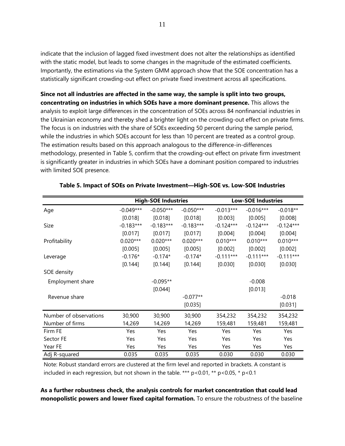indicate that the inclusion of lagged fixed investment does not alter the relationships as identified with the static model, but leads to some changes in the magnitude of the estimated coefficients. Importantly, the estimations via the System GMM approach show that the SOE concentration has a statistically significant crowding-out effect on private fixed investment across all specifications.

**Since not all industries are affected in the same way, the sample is split into two groups, concentrating on industries in which SOEs have a more dominant presence.** This allows the analysis to exploit large differences in the concentration of SOEs across 84 nonfinancial industries in the Ukrainian economy and thereby shed a brighter light on the crowding-out effect on private firms. The focus is on industries with the share of SOEs exceeding 50 percent during the sample period, while the industries in which SOEs account for less than 10 percent are treated as a control group. The estimation results based on this approach analogous to the difference-in-differences methodology, presented in Table 5, confirm that the crowding-out effect on private firm investment is significantly greater in industries in which SOEs have a dominant position compared to industries with limited SOE presence.

|                        | <b>High-SOE Industries</b> |             |             | <b>Low-SOE Industries</b> |             |             |
|------------------------|----------------------------|-------------|-------------|---------------------------|-------------|-------------|
| Age                    | $-0.049***$                | $-0.050***$ | $-0.050***$ | $-0.013***$               | $-0.016***$ | $-0.018**$  |
|                        | [0.018]                    | [0.018]     | [0.018]     | [0.003]                   | [0.005]     | [0.008]     |
| Size                   | $-0.183***$                | $-0.183***$ | $-0.183***$ | $-0.124***$               | $-0.124***$ | $-0.124***$ |
|                        | [0.017]                    | [0.017]     | [0.017]     | [0.004]                   | [0.004]     | [0.004]     |
| Profitability          | $0.020***$                 | $0.020***$  | $0.020***$  | $0.010***$                | $0.010***$  | $0.010***$  |
|                        | [0.005]                    | [0.005]     | [0.005]     | [0.002]                   | [0.002]     | [0.002]     |
| Leverage               | $-0.176*$                  | $-0.174*$   | $-0.174*$   | $-0.111***$               | $-0.111***$ | $-0.111***$ |
|                        | [0.144]                    | [0.144]     | [0.144]     | [0.030]                   | [0.030]     | [0.030]     |
| SOE density            |                            |             |             |                           |             |             |
| Employment share       |                            | $-0.095**$  |             |                           | $-0.008$    |             |
|                        |                            | [0.044]     |             |                           | [0.013]     |             |
| Revenue share          |                            |             | $-0.077**$  |                           |             | $-0.018$    |
|                        |                            |             | [0.035]     |                           |             | [0.031]     |
| Number of observations | 30,900                     | 30,900      | 30,900      | 354,232                   | 354,232     | 354,232     |
| Number of firms        | 14,269                     | 14,269      | 14,269      | 159,481                   | 159,481     | 159,481     |
| Firm FE                | Yes                        | Yes         | Yes         | Yes                       | Yes         | Yes         |
| Sector FE              | Yes                        | Yes         | Yes         | Yes                       | Yes         | Yes         |
| Year FE                | Yes                        | Yes         | Yes         | Yes                       | Yes         | Yes         |
| Adj R-squared          | 0.035                      | 0.035       | 0.035       | 0.030                     | 0.030       | 0.030       |

# **Table 5. Impact of SOEs on Private Investment—High-SOE vs. Low-SOE Industries**

Note: Robust standard errors are clustered at the firm level and reported in brackets. A constant is included in each regression, but not shown in the table. \*\*\*  $p < 0.01$ , \*\*  $p < 0.05$ , \*  $p < 0.1$ 

**As a further robustness check, the analysis controls for market concentration that could lead monopolistic powers and lower fixed capital formation.** To ensure the robustness of the baseline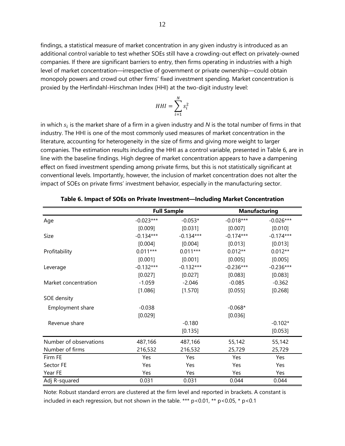findings, a statistical measure of market concentration in any given industry is introduced as an additional control variable to test whether SOEs still have a crowding-out effect on privately-owned companies. If there are significant barriers to entry, then firms operating in industries with a high level of market concentration—irrespective of government or private ownership—could obtain monopoly powers and crowd out other firms' fixed investment spending. Market concentration is proxied by the Herfindahl-Hirschman Index (HHI) at the two-digit industry level:

$$
HHI = \sum_{i=1}^{N} s_i^2
$$

in which  $s_i$  is the market share of a firm in a given industry and  $N$  is the total number of firms in that industry. The HHI is one of the most commonly used measures of market concentration in the literature, accounting for heterogeneity in the size of firms and giving more weight to larger companies. The estimation results including the HHI as a control variable, presented in Table 6, are in line with the baseline findings. High degree of market concentration appears to have a dampening effect on fixed investment spending among private firms, but this is not statistically significant at conventional levels. Importantly, however, the inclusion of market concentration does not alter the impact of SOEs on private firms' investment behavior, especially in the manufacturing sector.

|                        |             | <b>Full Sample</b> |             | <b>Manufacturing</b> |
|------------------------|-------------|--------------------|-------------|----------------------|
| Age                    | $-0.023***$ | $-0.053*$          | $-0.018***$ | $-0.026***$          |
|                        | [0.009]     | [0.031]            | [0.007]     | [0.010]              |
| Size                   | $-0.134***$ | $-0.134***$        | $-0.174***$ | $-0.174***$          |
|                        | [0.004]     | [0.004]            | [0.013]     | [0.013]              |
| Profitability          | $0.011***$  | $0.011***$         | $0.012**$   | $0.012**$            |
|                        | [0.001]     | [0.001]            | [0.005]     | [0.005]              |
| Leverage               | $-0.132***$ | $-0.132***$        | $-0.236***$ | $-0.236***$          |
|                        | [0.027]     | [0.027]            | [0.083]     | [0.083]              |
| Market concentration   | $-1.059$    | $-2.046$           | $-0.085$    | $-0.362$             |
|                        | [1.086]     | [1.570]            | [0.055]     | [0.268]              |
| SOE density            |             |                    |             |                      |
| Employment share       | $-0.038$    |                    | $-0.068*$   |                      |
|                        | [0.029]     |                    | [0.036]     |                      |
| Revenue share          |             | $-0.180$           |             | $-0.102*$            |
|                        |             | [0.135]            |             | [0.053]              |
| Number of observations | 487,166     | 487,166            | 55,142      | 55,142               |
| Number of firms        | 216,532     | 216,532            | 25,729      | 25,729               |
| Firm FE                | Yes         | Yes                | Yes         | Yes                  |
| Sector FE              | Yes         | Yes                | Yes         | Yes                  |
| Year FE                | Yes         | Yes                | Yes         | Yes                  |
| Adj R-squared          | 0.031       | 0.031              | 0.044       | 0.044                |

Note: Robust standard errors are clustered at the firm level and reported in brackets. A constant is included in each regression, but not shown in the table. \*\*\*  $p$  < 0.01, \*\*  $p$  < 0.05, \*  $p$  < 0.1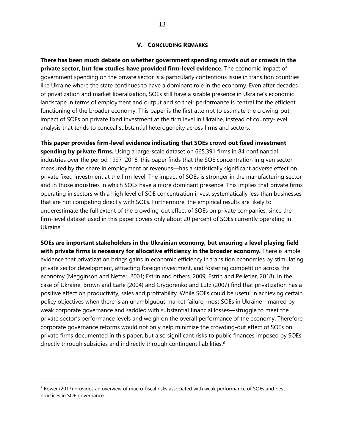# **V. CONCLUDING REMARKS**

**There has been much debate on whether government spending crowds out or crowds in the private sector, but few studies have provided firm-level evidence.** The economic impact of government spending on the private sector is a particularly contentious issue in transition countries like Ukraine where the state continues to have a dominant role in the economy. Even after decades of privatization and market liberalization, SOEs still have a sizable presence in Ukraine's economic landscape in terms of employment and output and so their performance is central for the efficient functioning of the broader economy. This paper is the first attempt to estimate the crowing-out impact of SOEs on private fixed investment at the firm level in Ukraine, instead of country-level analysis that tends to conceal substantial heterogeneity across firms and sectors.

**This paper provides firm-level evidence indicating that SOEs crowd out fixed investment spending by private firms.** Using a large-scale dataset on 665,391 firms in 84 nonfinancial industries over the period 1997–2016, this paper finds that the SOE concentration in given sector measured by the share in employment or revenues—has a statistically significant adverse effect on private fixed investment at the firm level. The impact of SOEs is stronger in the manufacturing sector and in those industries in which SOEs have a more dominant presence. This implies that private firms operating in sectors with a high level of SOE concentration invest systematically less than businesses that are not competing directly with SOEs. Furthermore, the empirical results are likely to underestimate the full extent of the crowding-out effect of SOEs on private companies, since the firm-level dataset used in this paper covers only about 20 percent of SOEs currently operating in Ukraine.

**SOEs are important stakeholders in the Ukrainian economy, but ensuring a level playing field with private firms is necessary for allocative efficiency in the broader economy.** There is ample evidence that privatization brings gains in economic efficiency in transition economies by stimulating private sector development, attracting foreign investment, and fostering competition across the economy (Megginson and Netter, 2001; Estrin and others, 2009; Estrin and Pelletier, 2018). In the case of Ukraine, Brown and Earle (2004) and Grygorenko and Lutz (2007) find that privatization has a positive effect on productivity, sales and profitability. While SOEs could be useful in achieving certain policy objectives when there is an unambiguous market failure, most SOEs in Ukraine—marred by weak corporate governance and saddled with substantial financial losses—struggle to meet the private sector's performance levels and weigh on the overall performance of the economy. Therefore, corporate governance reforms would not only help minimize the crowding-out effect of SOEs on private firms documented in this paper, but also significant risks to public finances imposed by SOEs directly through subsidies and indirectly through contingent liabilities.<sup>[6](#page-12-0)</sup>

 $\overline{a}$ 

<span id="page-12-0"></span><sup>6</sup> Böwer (2017) provides an overview of macro-fiscal risks associated with weak performance of SOEs and best practices in SOE governance.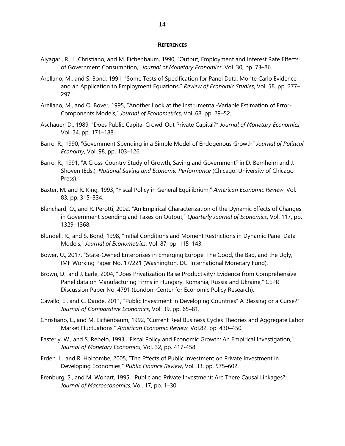### **REFERENCES**

- Aiyagari, R., L. Christiano, and M. Eichenbaum, 1990, "Output, Employment and Interest Rate Effects of Government Consumption," *Journal of Monetary Economics*, Vol. 30, pp. 73–86.
- Arellano, M., and S. Bond, 1991, "Some Tests of Specification for Panel Data: Monte Carlo Evidence and an Application to Employment Equations," *Review of Economic Studies*, Vol. 58, pp. 277– 297.
- Arellano, M., and O. Bover, 1995, "Another Look at the Instrumental-Variable Estimation of Error-Components Models," *Journal of Econometrics*, Vol. 68, pp. 29–52.
- Aschauer, D., 1989, "Does Public Capital Crowd-Out Private Capital?" *Journal of Monetary Economics*, Vol. 24, pp. 171–188.
- Barro, R., 1990, "Government Spending in a Simple Model of Endogenous Growth" *Journal of Political Economy*, Vol. 98, pp. 103–126.
- Barro, R., 1991, "A Cross-Country Study of Growth, Saving and Government" in D. Bernheim and J. Shoven (Eds.), *National Saving and Economic Performance* (Chicago: University of Chicago Press).
- Baxter, M. and R. King, 1993, "Fiscal Policy in General Equilibrium," *American Economic Review*, Vol. 83, pp. 315–334.
- Blanchard, O., and R. Perotti, 2002, "An Empirical Characterization of the Dynamic Effects of Changes in Government Spending and Taxes on Output," *Quarterly Journal of Economics*, Vol. 117, pp. 1329–1368.
- Blundell, R., and S. Bond, 1998, "Initial Conditions and Moment Restrictions in Dynamic Panel Data Models," *Journal of Econometrics*, Vol. 87, pp. 115–143.
- Böwer, U., 2017, "State-Owned Enterprises in Emerging Europe: The Good, the Bad, and the Ugly," IMF Working Paper No. 17/221 (Washington, DC: International Monetary Fund).
- Brown, D., and J. Earle, 2004, "Does Privatization Raise Productivity? Evidence from Comprehensive Panel data on Manufacturing Firms in Hungary, Romania, Russia and Ukraine," CEPR Discussion Paper No. 4791 (London: Center for Economic Policy Research).
- Cavallo, E., and C. Daude, 2011, "Public Investment in Developing Countries" A Blessing or a Curse?" *Journal of Comparative Economics*, Vol. 39, pp. 65–81.
- Christiano, L., and M. Eichenbaum, 1992, "Current Real Business Cycles Theories and Aggregate Labor Market Fluctuations," *American Economic Review*, Vol.82, pp. 430–450.
- Easterly, W., and S. Rebelo, 1993, "Fiscal Policy and Economic Growth: An Empirical Investigation," *Journal of Monetary Economics*, Vol. 32, pp. 417-458.
- Erden, L., and R. Holcombe, 2005, "The Effects of Public Investment on Private Investment in Developing Economies," *Public Finance Review*, Vol. 33, pp. 575–602.
- Erenburg, S., and M. Wohart, 1995, "Public and Private Investment: Are There Causal Linkages?" *Journal of Macroeconomics*, Vol. 17, pp. 1–30.